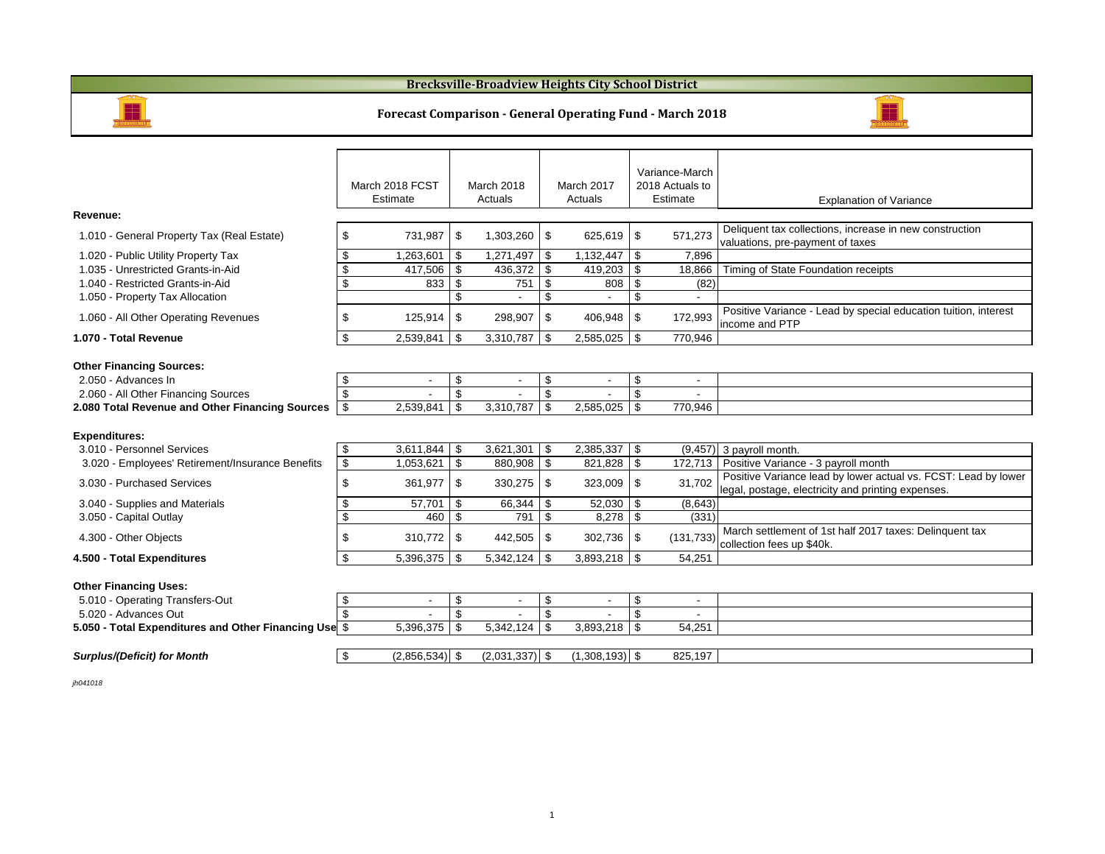### **Brecksville-Broadview Heights City School District**



#### **Forecast Comparison - General Operating Fund - March 2018**



#### **Other Financing Uses:**

| - Operating Transfers-Out<br>$5.010 -$                |           |           |           |        |  |
|-------------------------------------------------------|-----------|-----------|-----------|--------|--|
| 5.020 - Advances Out                                  |           |           |           |        |  |
| 5.050 - Total Expenditures and Other Financing Use \$ | 5.396.375 | 3,342,124 | 3.893.218 | 54,251 |  |
|                                                       |           |           |           |        |  |

#### *Surplus/(Deficit) for Month* \$ (2,856,534) \$ (2,031,337) \$ (1,308,193) \$ 825,197

*jh041018*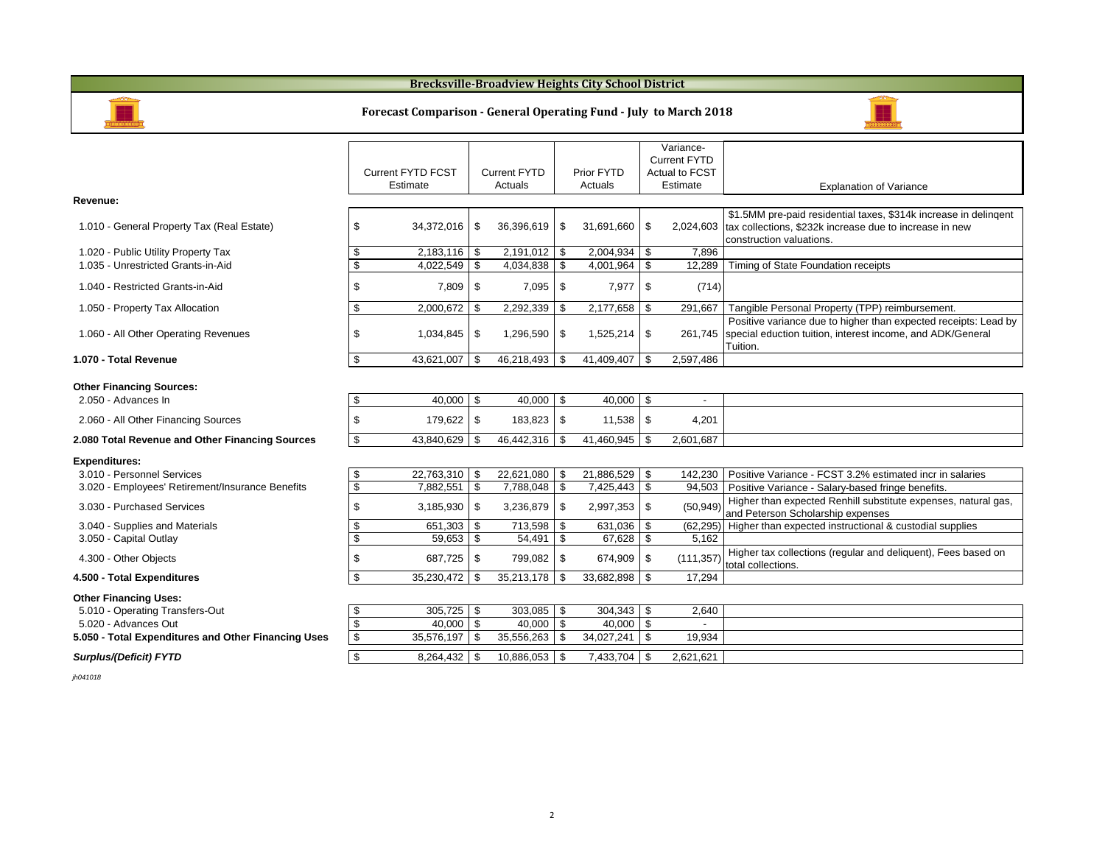## **Brecksville-Broadview Heights City School District**



## **Forecast Comparison - General Operating Fund - July to March 2018**



|                                                     |                                      |                                |                       |              | Variance-<br><b>Current FYTD</b> |                                                                                                     |
|-----------------------------------------------------|--------------------------------------|--------------------------------|-----------------------|--------------|----------------------------------|-----------------------------------------------------------------------------------------------------|
|                                                     | <b>Current FYTD FCST</b><br>Estimate | <b>Current FYTD</b><br>Actuals | Prior FYTD<br>Actuals |              | Actual to FCST<br>Estimate       | <b>Explanation of Variance</b>                                                                      |
| Revenue:                                            |                                      |                                |                       |              |                                  |                                                                                                     |
|                                                     |                                      |                                |                       |              |                                  | \$1.5MM pre-paid residential taxes, \$314k increase in delingent                                    |
| 1.010 - General Property Tax (Real Estate)          | \$<br>34,372,016                     | \$<br>36,396,619               | \$<br>31,691,660      | \$           |                                  | 2,024,603 tax collections, \$232k increase due to increase in new                                   |
| 1.020 - Public Utility Property Tax                 | $2,183,116$ \$                       | $2,191,012$ \$                 | 2,004,934             | -\$          | 7,896                            | construction valuations.                                                                            |
| 1.035 - Unrestricted Grants-in-Aid                  | \$<br>\$<br>4,022,549                | \$<br>$4,034,838$ \$           | 4,001,964             | \$           | 12,289                           | Timing of State Foundation receipts                                                                 |
|                                                     |                                      |                                |                       |              |                                  |                                                                                                     |
| 1.040 - Restricted Grants-in-Aid                    | \$<br>$7,809$ \ \$                   | $7,095$ \$                     | 7,977                 | \$           | (714)                            |                                                                                                     |
| 1.050 - Property Tax Allocation                     | \$<br>2,000,672                      | \$<br>$2,292,339$ \$           | 2,177,658             | \$           | 291,667                          | Tangible Personal Property (TPP) reimbursement.                                                     |
|                                                     |                                      |                                |                       |              |                                  | Positive variance due to higher than expected receipts: Lead by                                     |
| 1.060 - All Other Operating Revenues                | \$<br>1,034,845 \$                   | 1,296,590 \$                   | 1,525,214             | \$           |                                  | 261,745   special eduction tuition, interest income, and ADK/General<br>Tuition.                    |
| 1.070 - Total Revenue                               | \$<br>$43,621,007$ \$                | 46,218,493 \$                  | 41,409,407            | \$           | 2,597,486                        |                                                                                                     |
|                                                     |                                      |                                |                       |              |                                  |                                                                                                     |
| <b>Other Financing Sources:</b>                     |                                      |                                |                       |              |                                  |                                                                                                     |
| 2.050 - Advances In                                 | \$<br>$40,000$ \$                    | $40,000$ \ \$                  | 40,000                | \$           |                                  |                                                                                                     |
| 2.060 - All Other Financing Sources                 | \$<br>179,622 \$                     | 183,823 \$                     | $11,538$ \$           |              | 4,201                            |                                                                                                     |
| 2.080 Total Revenue and Other Financing Sources     | $\mathfrak s$<br>43,840,629          | \$<br>46,442,316 \$            | 41,460,945            | \$           | 2,601,687                        |                                                                                                     |
| <b>Expenditures:</b>                                |                                      |                                |                       |              |                                  |                                                                                                     |
| 3.010 - Personnel Services                          | 22,763,310<br>\$                     | \$<br>22,621,080 \$            | 21,886,529            | \$           | 142,230                          | Positive Variance - FCST 3.2% estimated incr in salaries                                            |
| 3.020 - Employees' Retirement/Insurance Benefits    | \$<br>7,882,551                      | \$<br>7,788,048 \$             | 7,425,443             | \$           | 94,503                           | Positive Variance - Salary-based fringe benefits.                                                   |
| 3.030 - Purchased Services                          | \$<br>$3,185,930$ \$                 | $3,236,879$ \$                 | 2,997,353             | \$           | (50, 949)                        | Higher than expected Renhill substitute expenses, natural gas,<br>and Peterson Scholarship expenses |
| 3.040 - Supplies and Materials                      | \$<br>651,303 \$                     | 713,598 \$                     | 631,036               | \$           |                                  | (62,295) Higher than expected instructional & custodial supplies                                    |
| 3.050 - Capital Outlay                              | \$<br>$59,653$ \ \$                  | $54,491$ \\$                   | 67,628                | \$           | 5,162                            |                                                                                                     |
| 4.300 - Other Objects                               | \$<br>687,725 \$                     | 799,082 \$                     | 674,909               | $\sqrt{3}$   | (111, 357)                       | Higher tax collections (regular and deliquent), Fees based on<br>total collections.                 |
| 4.500 - Total Expenditures                          | \$<br>35,230,472                     | \$<br>$35,213,178$ \$          | 33,682,898            | - \$         | 17,294                           |                                                                                                     |
| <b>Other Financing Uses:</b>                        |                                      |                                |                       |              |                                  |                                                                                                     |
| 5.010 - Operating Transfers-Out                     | \$<br>$305,725$ \$                   | $303,085$ \$                   | 304,343               | <b>\$</b>    | 2,640                            |                                                                                                     |
| 5.020 - Advances Out                                | $\mathfrak{S}$<br>$40,000$ \$        | $40,000$ \$                    | 40,000                | $\mathsf{s}$ |                                  |                                                                                                     |
| 5.050 - Total Expenditures and Other Financing Uses | \$<br>35,576,197                     | \$<br>$35,556,263$ \$          | 34,027,241            | \$           | 19,934                           |                                                                                                     |
| Surplus/(Deficit) FYTD                              | \$<br>$8,264,432$ \$                 | $10,886,053$ \$                | 7,433,704             | \$           | 2,621,621                        |                                                                                                     |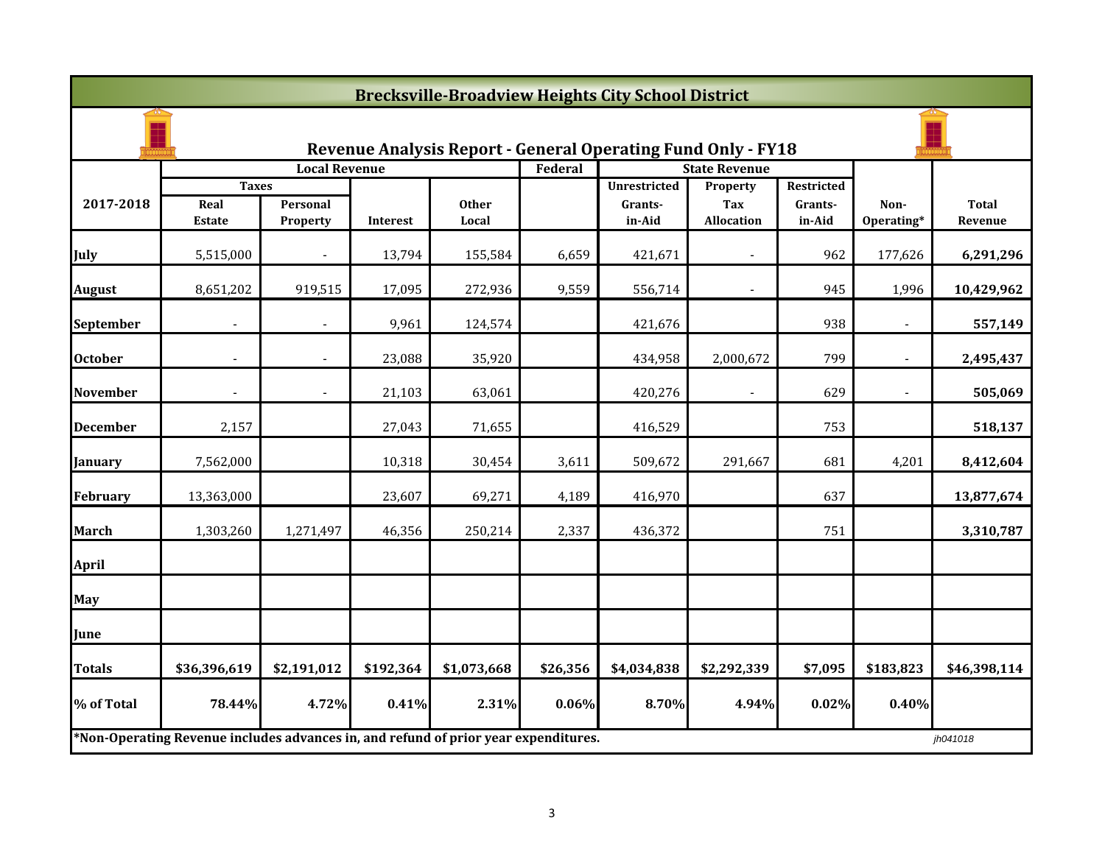|                 | <b>Brecksville-Broadview Heights City School District</b>                                       |                          |           |              |          |                                                                     |                        |                   |                    |                         |
|-----------------|-------------------------------------------------------------------------------------------------|--------------------------|-----------|--------------|----------|---------------------------------------------------------------------|------------------------|-------------------|--------------------|-------------------------|
|                 |                                                                                                 |                          |           |              |          | <b>Revenue Analysis Report - General Operating Fund Only - FY18</b> |                        |                   |                    |                         |
|                 |                                                                                                 | <b>Local Revenue</b>     |           |              | Federal  |                                                                     | <b>State Revenue</b>   |                   |                    |                         |
| 2017-2018       | <b>Taxes</b><br>Real                                                                            | Personal                 |           | <b>Other</b> |          | <b>Unrestricted</b>                                                 | <b>Property</b><br>Tax | Restricted        |                    |                         |
|                 | <b>Estate</b>                                                                                   | <b>Property</b>          | Interest  | Local        |          | Grants-<br>in-Aid                                                   | <b>Allocation</b>      | Grants-<br>in-Aid | Non-<br>Operating* | <b>Total</b><br>Revenue |
| July            | 5,515,000                                                                                       |                          | 13,794    | 155,584      | 6,659    | 421,671                                                             | $\blacksquare$         | 962               | 177,626            | 6,291,296               |
| <b>August</b>   | 8,651,202                                                                                       | 919,515                  | 17,095    | 272,936      | 9,559    | 556,714                                                             |                        | 945               | 1,996              | 10,429,962              |
| September       |                                                                                                 |                          | 9,961     | 124,574      |          | 421,676                                                             |                        | 938               |                    | 557,149                 |
| <b>October</b>  | $\overline{a}$                                                                                  | $\overline{a}$           | 23,088    | 35,920       |          | 434,958                                                             | 2,000,672              | 799               | $\overline{a}$     | 2,495,437               |
| <b>November</b> | $\overline{\phantom{a}}$                                                                        | $\overline{\phantom{a}}$ | 21,103    | 63,061       |          | 420,276                                                             | $\blacksquare$         | 629               | $\blacksquare$     | 505,069                 |
| <b>December</b> | 2,157                                                                                           |                          | 27,043    | 71,655       |          | 416,529                                                             |                        | 753               |                    | 518,137                 |
| January         | 7,562,000                                                                                       |                          | 10,318    | 30,454       | 3,611    | 509,672                                                             | 291,667                | 681               | 4,201              | 8,412,604               |
| <b>February</b> | 13,363,000                                                                                      |                          | 23,607    | 69,271       | 4,189    | 416,970                                                             |                        | 637               |                    | 13,877,674              |
| <b>March</b>    | 1,303,260                                                                                       | 1,271,497                | 46,356    | 250,214      | 2,337    | 436,372                                                             |                        | 751               |                    | 3,310,787               |
| <b>April</b>    |                                                                                                 |                          |           |              |          |                                                                     |                        |                   |                    |                         |
| <b>May</b>      |                                                                                                 |                          |           |              |          |                                                                     |                        |                   |                    |                         |
| June            |                                                                                                 |                          |           |              |          |                                                                     |                        |                   |                    |                         |
| <b>Totals</b>   | \$36,396,619                                                                                    | \$2,191,012              | \$192,364 | \$1,073,668  | \$26,356 | \$4,034,838                                                         | \$2,292,339            | \$7,095           | \$183,823          | \$46,398,114            |
| % of Total      | 78.44%                                                                                          | 4.72%                    | 0.41%     | 2.31%        | 0.06%    | 8.70%                                                               | 4.94%                  | 0.02%             | 0.40%              |                         |
|                 | *Non-Operating Revenue includes advances in, and refund of prior year expenditures.<br>jh041018 |                          |           |              |          |                                                                     |                        |                   |                    |                         |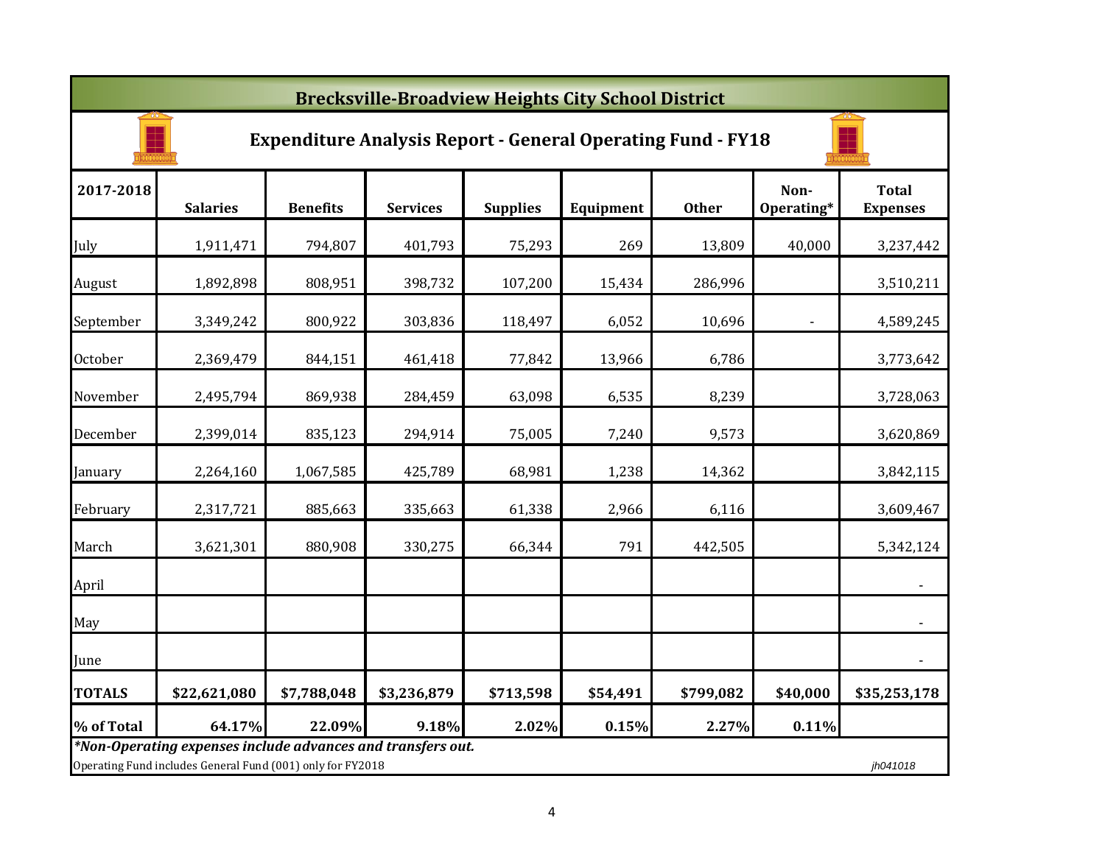|               | <b>Brecksville-Broadview Heights City School District</b>                                                                             |                 |                 |                 |           |              |                    |                                 |  |  |  |
|---------------|---------------------------------------------------------------------------------------------------------------------------------------|-----------------|-----------------|-----------------|-----------|--------------|--------------------|---------------------------------|--|--|--|
|               | <b>Expenditure Analysis Report - General Operating Fund - FY18</b>                                                                    |                 |                 |                 |           |              |                    |                                 |  |  |  |
| 2017-2018     | <b>Salaries</b>                                                                                                                       | <b>Benefits</b> | <b>Services</b> | <b>Supplies</b> | Equipment | <b>Other</b> | Non-<br>Operating* | <b>Total</b><br><b>Expenses</b> |  |  |  |
| July          | 1,911,471                                                                                                                             | 794,807         | 401,793         | 75,293          | 269       | 13,809       | 40,000             | 3,237,442                       |  |  |  |
| August        | 1,892,898                                                                                                                             | 808,951         | 398,732         | 107,200         | 15,434    | 286,996      |                    | 3,510,211                       |  |  |  |
| September     | 3,349,242                                                                                                                             | 800,922         | 303,836         | 118,497         | 6,052     | 10,696       |                    | 4,589,245                       |  |  |  |
| October       | 2,369,479                                                                                                                             | 844,151         | 461,418         | 77,842          | 13,966    | 6,786        |                    | 3,773,642                       |  |  |  |
| November      | 2,495,794                                                                                                                             | 869,938         | 284,459         | 63,098          | 6,535     | 8,239        |                    | 3,728,063                       |  |  |  |
| December      | 2,399,014                                                                                                                             | 835,123         | 294,914         | 75,005          | 7,240     | 9,573        |                    | 3,620,869                       |  |  |  |
| January       | 2,264,160                                                                                                                             | 1,067,585       | 425,789         | 68,981          | 1,238     | 14,362       |                    | 3,842,115                       |  |  |  |
| February      | 2,317,721                                                                                                                             | 885,663         | 335,663         | 61,338          | 2,966     | 6,116        |                    | 3,609,467                       |  |  |  |
| March         | 3,621,301                                                                                                                             | 880,908         | 330,275         | 66,344          | 791       | 442,505      |                    | 5,342,124                       |  |  |  |
| April         |                                                                                                                                       |                 |                 |                 |           |              |                    |                                 |  |  |  |
| May           |                                                                                                                                       |                 |                 |                 |           |              |                    | $\blacksquare$                  |  |  |  |
| June          |                                                                                                                                       |                 |                 |                 |           |              |                    | $\overline{\phantom{a}}$        |  |  |  |
| <b>TOTALS</b> | \$22,621,080                                                                                                                          | \$7,788,048     | \$3,236,879     | \$713,598       | \$54,491  | \$799,082    | \$40,000           | \$35,253,178                    |  |  |  |
| % of Total    | 64.17%                                                                                                                                | 22.09%          | 9.18%           | 2.02%           | 0.15%     | 2.27%        | 0.11%              |                                 |  |  |  |
|               | *Non-Operating expenses include advances and transfers out.<br>Operating Fund includes General Fund (001) only for FY2018<br>jh041018 |                 |                 |                 |           |              |                    |                                 |  |  |  |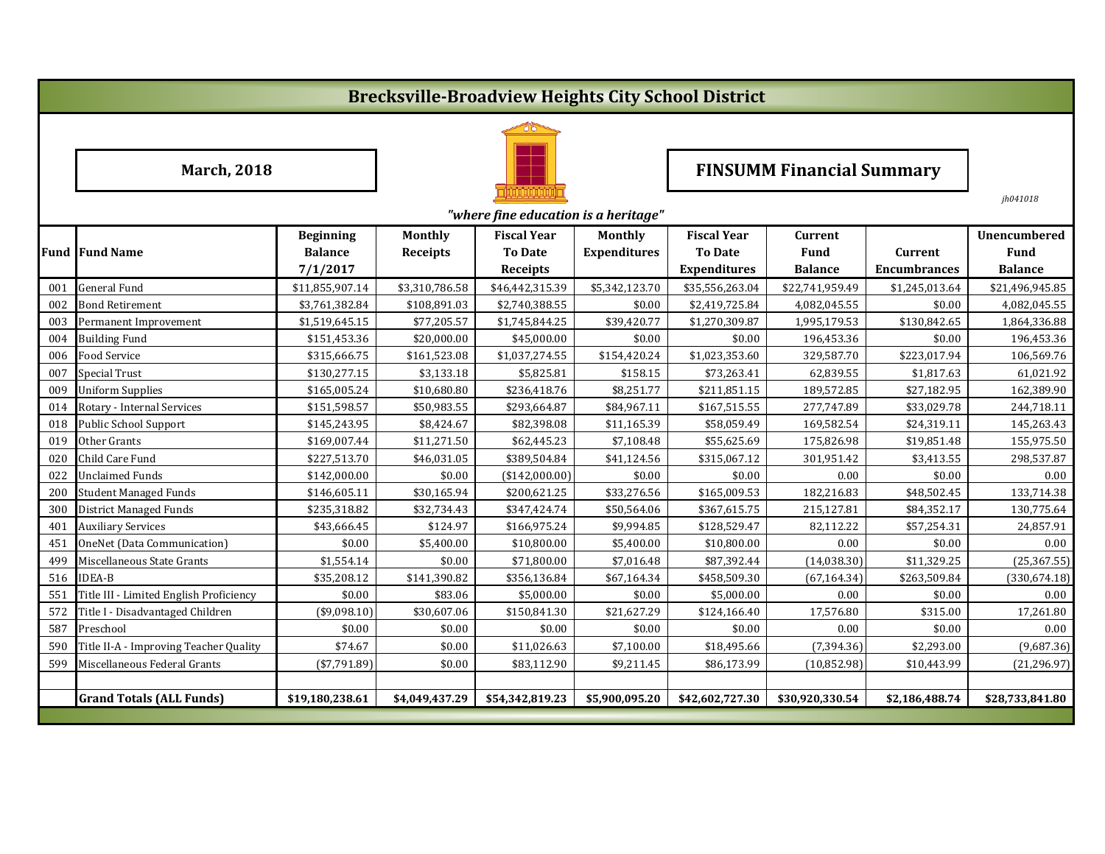# **Brecksville-Broadview Heights City School District**



*jh041018*

|                 | "where fine education is a heritage"    |                                                |                            |                                                         |                                |                                                             |                                                 |                                       |                                                      |
|-----------------|-----------------------------------------|------------------------------------------------|----------------------------|---------------------------------------------------------|--------------------------------|-------------------------------------------------------------|-------------------------------------------------|---------------------------------------|------------------------------------------------------|
|                 | <b>Fund Fund Name</b>                   | <b>Beginning</b><br><b>Balance</b><br>7/1/2017 | Monthly<br><b>Receipts</b> | <b>Fiscal Year</b><br><b>To Date</b><br><b>Receipts</b> | Monthly<br><b>Expenditures</b> | <b>Fiscal Year</b><br><b>To Date</b><br><b>Expenditures</b> | <b>Current</b><br><b>Fund</b><br><b>Balance</b> | <b>Current</b><br><b>Encumbrances</b> | <b>Unencumbered</b><br><b>Fund</b><br><b>Balance</b> |
| 001             | General Fund                            | \$11,855,907.14                                | \$3,310,786.58             | \$46,442,315.39                                         | \$5,342,123.70                 | \$35,556,263.04                                             | \$22,741,959.49                                 | \$1,245,013.64                        | \$21,496,945.85                                      |
| 002             | <b>Bond Retirement</b>                  | \$3,761,382.84                                 | \$108,891.03               | \$2,740,388.55                                          | \$0.00                         | \$2,419,725.84                                              | 4,082,045.55                                    | \$0.00                                | 4,082,045.55                                         |
| 003             | Permanent Improvement                   | \$1,519,645.15                                 | \$77,205.57                | \$1,745,844.25                                          | \$39,420.77                    | \$1,270,309.87                                              | 1,995,179.53                                    | \$130,842.65                          | 1,864,336.88                                         |
| 004             | <b>Building Fund</b>                    | \$151,453.36                                   | \$20,000.00                | \$45,000.00                                             | \$0.00                         | \$0.00                                                      | 196,453.36                                      | \$0.00                                | 196,453.36                                           |
| 006             | Food Service                            | \$315,666.75                                   | \$161,523.08               | \$1,037,274.55                                          | \$154,420.24                   | \$1,023,353.60                                              | 329,587.70                                      | \$223,017.94                          | 106,569.76                                           |
| 007             | <b>Special Trust</b>                    | \$130,277.15                                   | \$3,133.18                 | \$5,825.81                                              | \$158.15                       | \$73,263.41                                                 | 62,839.55                                       | \$1,817.63                            | 61,021.92                                            |
| 009             | <b>Uniform Supplies</b>                 | \$165,005.24                                   | \$10,680.80                | \$236,418.76                                            | \$8,251.77                     | \$211,851.15                                                | 189,572.85                                      | \$27,182.95                           | 162,389.90                                           |
| 014             | Rotary - Internal Services              | \$151,598.57                                   | \$50,983.55                | \$293,664.87                                            | \$84,967.11                    | \$167,515.55                                                | 277,747.89                                      | \$33,029.78                           | 244,718.11                                           |
| 018             | Public School Support                   | \$145,243.95                                   | \$8,424.67                 | \$82,398.08                                             | \$11,165.39                    | \$58,059.49                                                 | 169,582.54                                      | \$24,319.11                           | 145,263.43                                           |
| 019             | Other Grants                            | \$169,007.44                                   | \$11,271.50                | \$62,445.23                                             | \$7,108.48                     | \$55,625.69                                                 | 175,826.98                                      | \$19,851.48                           | 155,975.50                                           |
| 02 <sub>C</sub> | Child Care Fund                         | \$227,513.70                                   | \$46,031.05                | \$389,504.84                                            | \$41,124.56                    | \$315,067.12                                                | 301,951.42                                      | \$3,413.55                            | 298,537.87                                           |
| 022             | Unclaimed Funds                         | \$142,000.00                                   | \$0.00                     | (\$142,000.00)                                          | \$0.00                         | \$0.00                                                      | 0.00                                            | \$0.00                                | 0.00                                                 |
| 200             | <b>Student Managed Funds</b>            | \$146,605.11                                   | \$30,165.94                | \$200,621.25                                            | \$33,276.56                    | \$165,009.53                                                | 182,216.83                                      | \$48,502.45                           | 133,714.38                                           |
| 300             | <b>District Managed Funds</b>           | \$235,318.82                                   | \$32,734.43                | \$347,424.74                                            | \$50,564.06                    | \$367,615.75                                                | 215,127.81                                      | \$84,352.17                           | 130,775.64                                           |
| 401             | <b>Auxiliary Services</b>               | \$43,666.45                                    | \$124.97                   | \$166,975.24                                            | \$9,994.85                     | \$128,529.47                                                | 82,112.22                                       | \$57,254.31                           | 24,857.91                                            |
| 451             | OneNet (Data Communication)             | \$0.00                                         | \$5,400.00                 | \$10,800.00                                             | \$5,400.00                     | \$10,800.00                                                 | 0.00                                            | \$0.00                                | 0.00                                                 |
| 49 <sup>c</sup> | Miscellaneous State Grants              | \$1,554.14                                     | \$0.00                     | \$71,800.00                                             | \$7,016.48                     | \$87,392.44                                                 | (14, 038.30)                                    | \$11,329.25                           | (25, 367.55)                                         |
| 516             | <b>IDEA-B</b>                           | \$35,208.12                                    | \$141,390.82               | \$356,136.84                                            | \$67,164.34                    | \$458,509.30                                                | (67, 164.34)                                    | \$263,509.84                          | (330, 674.18)                                        |
| 551             | Title III - Limited English Proficiency | \$0.00                                         | \$83.06                    | \$5,000.00                                              | \$0.00                         | \$5,000.00                                                  | 0.00                                            | \$0.00                                | 0.00                                                 |
| 572             | Title I - Disadvantaged Children        | ( \$9,098.10)                                  | \$30,607.06                | \$150,841.30                                            | \$21,627.29                    | \$124,166.40                                                | 17,576.80                                       | \$315.00                              | 17,261.80                                            |
| 587             | Preschool                               | \$0.00                                         | \$0.00                     | \$0.00                                                  | \$0.00                         | \$0.00                                                      | 0.00                                            | \$0.00                                | 0.00                                                 |
| 590             | Title II-A - Improving Teacher Quality  | \$74.67                                        | \$0.00                     | \$11,026.63                                             | \$7,100.00                     | \$18,495.66                                                 | (7, 394.36)                                     | \$2,293.00                            | (9,687.36)                                           |
| 599             | Miscellaneous Federal Grants            | $(*7,791.89)$                                  | \$0.00                     | \$83,112.90                                             | \$9,211.45                     | \$86,173.99                                                 | (10, 852.98)                                    | \$10,443.99                           | (21, 296.97)                                         |
|                 |                                         |                                                |                            |                                                         |                                |                                                             |                                                 |                                       |                                                      |
|                 | <b>Grand Totals (ALL Funds)</b>         | \$19,180,238.61                                | \$4,049,437.29             | \$54,342,819.23                                         | \$5.900.095.20                 | \$42,602,727.30                                             | \$30,920,330.54                                 | \$2,186,488.74                        | \$28,733,841.80                                      |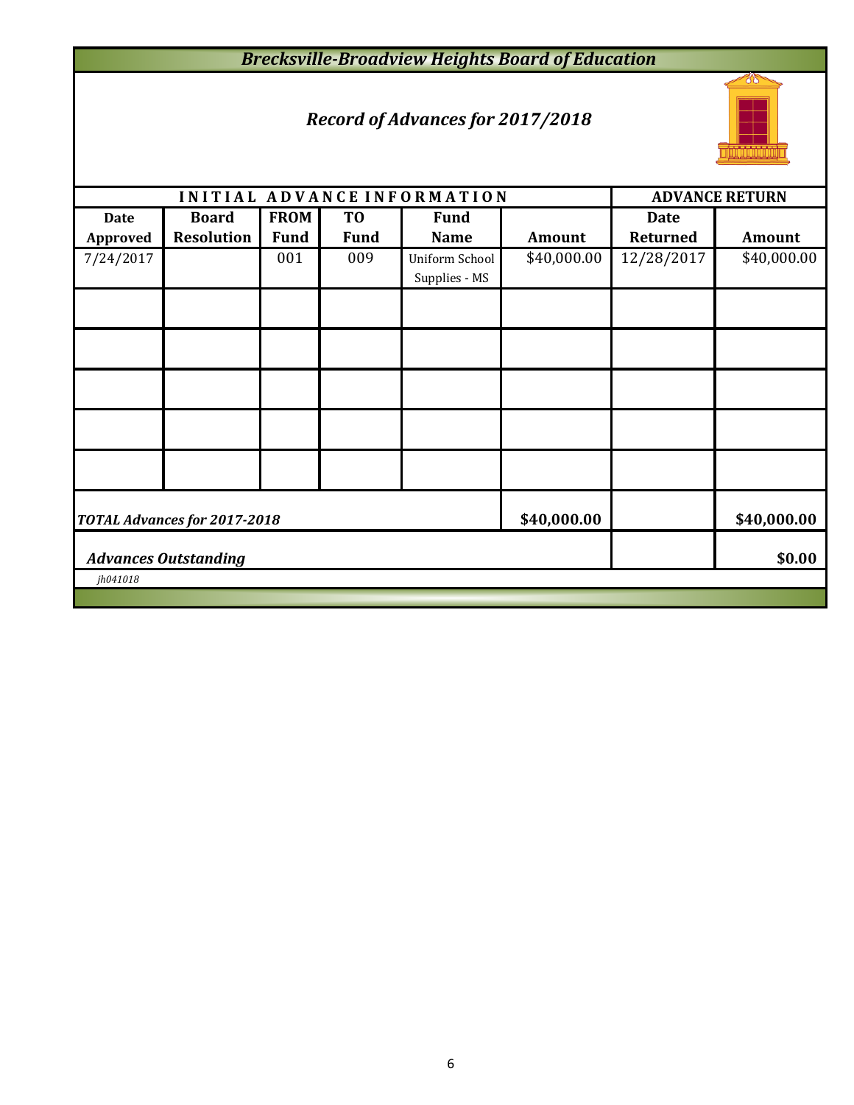# *Brecksville-Broadview Heights Board of Education*

# *Record of Advances for 2017/2018*



| <b>ADVANCE RETURN</b> |  |  |  |  |  |  |  |  |
|-----------------------|--|--|--|--|--|--|--|--|
| <b>Amount</b>         |  |  |  |  |  |  |  |  |
| \$40,000.00           |  |  |  |  |  |  |  |  |
|                       |  |  |  |  |  |  |  |  |
|                       |  |  |  |  |  |  |  |  |
|                       |  |  |  |  |  |  |  |  |
|                       |  |  |  |  |  |  |  |  |
|                       |  |  |  |  |  |  |  |  |
| \$40,000.00           |  |  |  |  |  |  |  |  |
| \$0.00                |  |  |  |  |  |  |  |  |
| jh041018              |  |  |  |  |  |  |  |  |
|                       |  |  |  |  |  |  |  |  |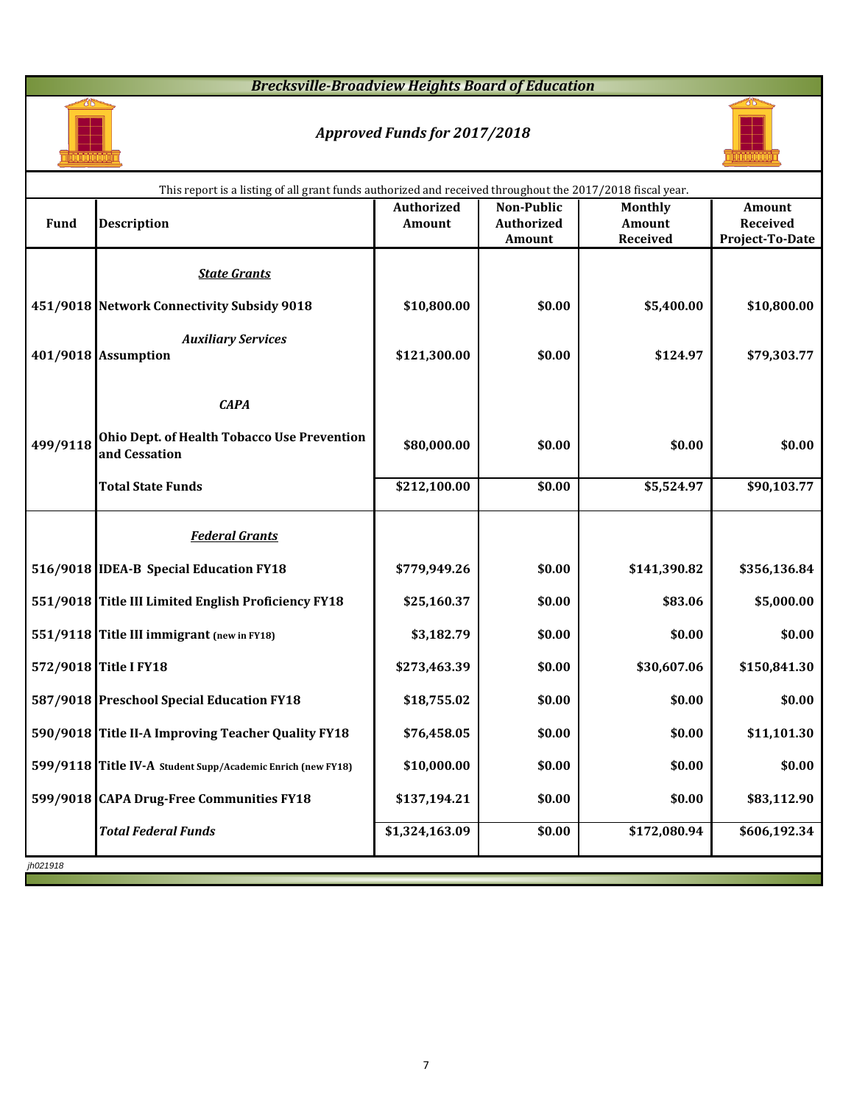## *Brecksville-Broadview Heights Board of Education*



## *Approved Funds for 2017/2018*



|             | This report is a listing of all grant funds authorized and received throughout the 2017/2018 fiscal year. |                   |                   |                 |                 |
|-------------|-----------------------------------------------------------------------------------------------------------|-------------------|-------------------|-----------------|-----------------|
|             |                                                                                                           | <b>Authorized</b> | <b>Non-Public</b> | Monthly         | Amount          |
| <b>Fund</b> | <b>Description</b>                                                                                        | <b>Amount</b>     | <b>Authorized</b> | Amount          | Received        |
|             |                                                                                                           |                   | Amount            | <b>Received</b> | Project-To-Date |
|             | <b>State Grants</b>                                                                                       |                   |                   |                 |                 |
|             | 451/9018 Network Connectivity Subsidy 9018                                                                | \$10,800.00       | \$0.00            | \$5,400.00      | \$10,800.00     |
|             | <b>Auxiliary Services</b>                                                                                 |                   |                   |                 |                 |
|             | 401/9018 Assumption                                                                                       | \$121,300.00      | \$0.00            | \$124.97        | \$79,303.77     |
|             | <b>CAPA</b>                                                                                               |                   |                   |                 |                 |
| 499/9118    | Ohio Dept. of Health Tobacco Use Prevention<br>and Cessation                                              | \$80,000.00       | \$0.00            | \$0.00          | \$0.00          |
|             | <b>Total State Funds</b>                                                                                  | \$212,100.00      | \$0.00            | \$5,524.97      | \$90,103.77     |
|             | <b>Federal Grants</b>                                                                                     |                   |                   |                 |                 |
|             | 516/9018 IDEA-B Special Education FY18                                                                    | \$779,949.26      | \$0.00            | \$141,390.82    | \$356,136.84    |
|             | 551/9018 Title III Limited English Proficiency FY18                                                       | \$25,160.37       | \$0.00            | \$83.06         | \$5,000.00      |
|             | 551/9118 Title III immigrant (new in FY18)                                                                | \$3,182.79        | \$0.00            | \$0.00          | \$0.00          |
|             | 572/9018 Title I FY18                                                                                     | \$273,463.39      | \$0.00            | \$30,607.06     | \$150,841.30    |
|             | 587/9018 Preschool Special Education FY18                                                                 | \$18,755.02       | \$0.00            | \$0.00          | \$0.00          |
|             | 590/9018 Title II-A Improving Teacher Quality FY18                                                        | \$76,458.05       | \$0.00            | \$0.00          | \$11,101.30     |
|             | 599/9118 Title IV-A Student Supp/Academic Enrich (new FY18)                                               | \$10,000.00       | \$0.00            | \$0.00          | \$0.00          |
|             | 599/9018 CAPA Drug-Free Communities FY18                                                                  | \$137,194.21      | \$0.00            | \$0.00          | \$83,112.90     |
|             | <b>Total Federal Funds</b>                                                                                | \$1,324,163.09    | \$0.00            | \$172,080.94    | \$606,192.34    |
| jh021918    |                                                                                                           |                   |                   |                 |                 |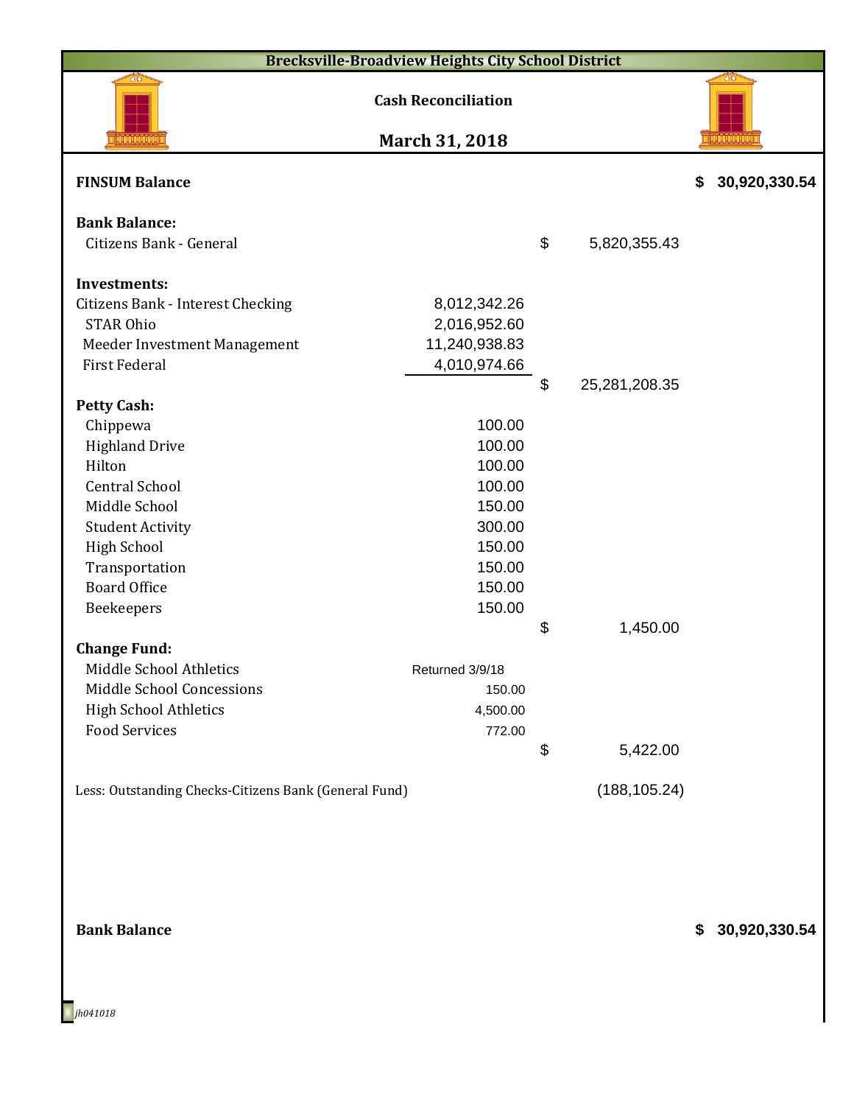|                                                       | <b>Brecksville-Broadview Heights City School District</b> |                     |                     |
|-------------------------------------------------------|-----------------------------------------------------------|---------------------|---------------------|
|                                                       | <b>Cash Reconciliation</b>                                |                     |                     |
|                                                       | March 31, 2018                                            |                     |                     |
| <b>FINSUM Balance</b>                                 |                                                           |                     | \$<br>30,920,330.54 |
| <b>Bank Balance:</b>                                  |                                                           |                     |                     |
| Citizens Bank - General                               |                                                           | \$<br>5,820,355.43  |                     |
| <b>Investments:</b>                                   |                                                           |                     |                     |
| Citizens Bank - Interest Checking                     | 8,012,342.26                                              |                     |                     |
| <b>STAR Ohio</b>                                      | 2,016,952.60                                              |                     |                     |
| Meeder Investment Management                          | 11,240,938.83                                             |                     |                     |
| <b>First Federal</b>                                  | 4,010,974.66                                              |                     |                     |
|                                                       |                                                           | \$<br>25,281,208.35 |                     |
| <b>Petty Cash:</b>                                    |                                                           |                     |                     |
| Chippewa                                              | 100.00                                                    |                     |                     |
| <b>Highland Drive</b>                                 | 100.00                                                    |                     |                     |
| Hilton<br><b>Central School</b>                       | 100.00<br>100.00                                          |                     |                     |
| Middle School                                         | 150.00                                                    |                     |                     |
| <b>Student Activity</b>                               | 300.00                                                    |                     |                     |
| <b>High School</b>                                    | 150.00                                                    |                     |                     |
| Transportation                                        | 150.00                                                    |                     |                     |
| <b>Board Office</b>                                   | 150.00                                                    |                     |                     |
| Beekeepers                                            | 150.00                                                    |                     |                     |
|                                                       |                                                           | \$<br>1,450.00      |                     |
| <b>Change Fund:</b>                                   |                                                           |                     |                     |
| Middle School Athletics                               | Returned 3/9/18                                           |                     |                     |
| Middle School Concessions                             | 150.00                                                    |                     |                     |
| <b>High School Athletics</b>                          | 4,500.00                                                  |                     |                     |
| <b>Food Services</b>                                  | 772.00                                                    |                     |                     |
|                                                       |                                                           | \$<br>5,422.00      |                     |
| Less: Outstanding Checks-Citizens Bank (General Fund) |                                                           | (188, 105.24)       |                     |
|                                                       |                                                           |                     |                     |
| <b>Bank Balance</b>                                   |                                                           |                     | \$<br>30,920,330.54 |

*jh041018*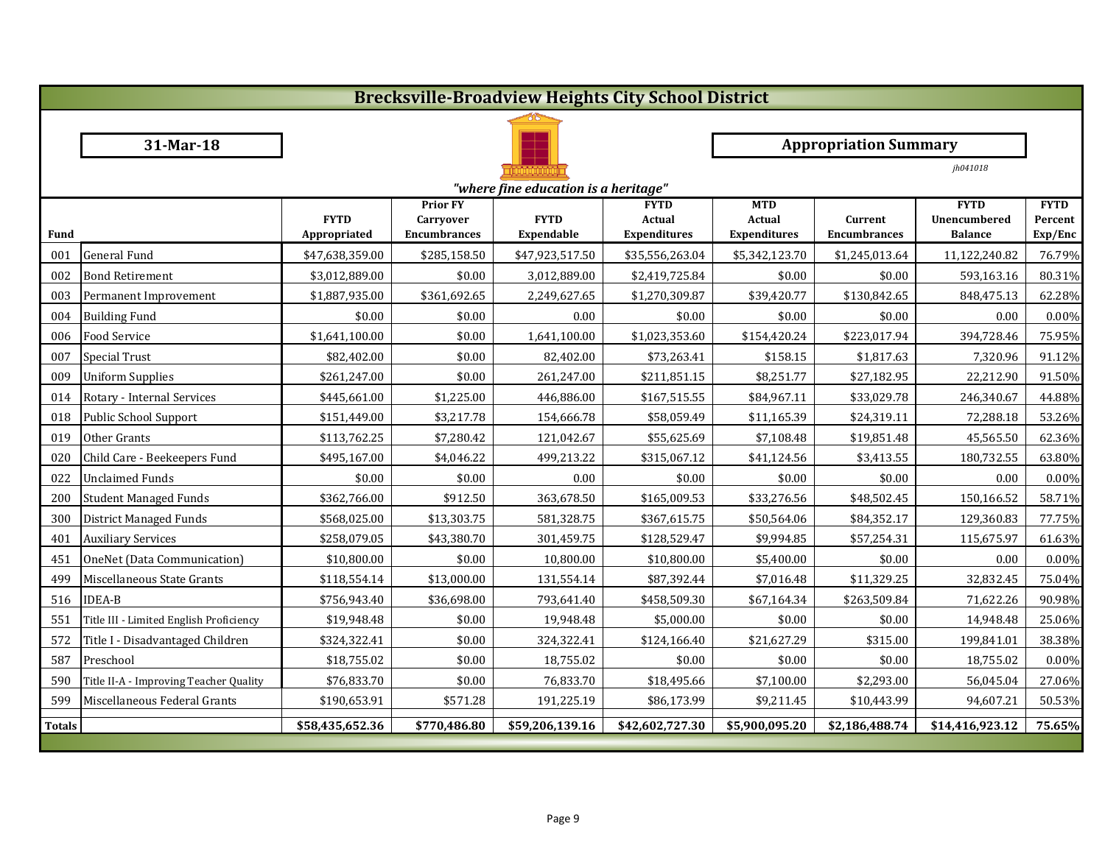|               | <b>Brecksville-Broadview Heights City School District</b> |                             |                                  |                           |                                      |                                      |                                |                                       |                    |  |  |
|---------------|-----------------------------------------------------------|-----------------------------|----------------------------------|---------------------------|--------------------------------------|--------------------------------------|--------------------------------|---------------------------------------|--------------------|--|--|
|               |                                                           |                             |                                  |                           |                                      |                                      |                                |                                       |                    |  |  |
|               | 31-Mar-18                                                 |                             |                                  |                           |                                      |                                      | <b>Appropriation Summary</b>   |                                       |                    |  |  |
|               |                                                           |                             |                                  | <u>MATHIAN N</u>          |                                      |                                      |                                | jh041018                              |                    |  |  |
|               | "where fine education is a heritage"                      |                             |                                  |                           |                                      |                                      |                                |                                       |                    |  |  |
|               |                                                           |                             | <b>Prior FY</b>                  |                           | <b>FYTD</b>                          | <b>MTD</b>                           |                                | <b>FYTD</b>                           | <b>FYTD</b>        |  |  |
| Fund          |                                                           | <b>FYTD</b><br>Appropriated | Carryover<br><b>Encumbrances</b> | <b>FYTD</b><br>Expendable | <b>Actual</b><br><b>Expenditures</b> | <b>Actual</b><br><b>Expenditures</b> | Current<br><b>Encumbrances</b> | <b>Unencumbered</b><br><b>Balance</b> | Percent<br>Exp/Enc |  |  |
| 001           | <b>General Fund</b>                                       | \$47,638,359.00             | \$285,158.50                     | \$47,923,517.50           | \$35,556,263.04                      | \$5,342,123.70                       | \$1,245,013.64                 | 11,122,240.82                         | 76.79%             |  |  |
| 002           | <b>Bond Retirement</b>                                    | \$3,012,889.00              | \$0.00                           | 3,012,889.00              | \$2,419,725.84                       | \$0.00                               | \$0.00                         | 593,163.16                            | 80.31%             |  |  |
| 003           | Permanent Improvement                                     | \$1,887,935.00              | \$361,692.65                     | 2,249,627.65              | \$1,270,309.87                       | \$39,420.77                          | \$130,842.65                   | 848,475.13                            | 62.28%             |  |  |
| 004           | <b>Building Fund</b>                                      | \$0.00                      | \$0.00                           | 0.00                      | \$0.00                               | \$0.00                               | \$0.00                         | 0.00                                  | 0.00%              |  |  |
| 006           | Food Service                                              | \$1,641,100.00              | \$0.00                           | 1,641,100.00              | \$1,023,353.60                       | \$154,420.24                         | \$223,017.94                   | 394,728.46                            | 75.95%             |  |  |
| 007           | <b>Special Trust</b>                                      | \$82,402.00                 | \$0.00                           | 82,402.00                 | \$73,263.41                          | \$158.15                             | \$1,817.63                     | 7,320.96                              | 91.12%             |  |  |
| 009           | <b>Uniform Supplies</b>                                   | \$261,247.00                | \$0.00                           | 261,247.00                | \$211,851.15                         | \$8,251.77                           | \$27,182.95                    | 22,212.90                             | 91.50%             |  |  |
| 014           | Rotary - Internal Services                                | \$445,661.00                | \$1,225.00                       | 446,886.00                | \$167,515.55                         | \$84,967.11                          | \$33,029.78                    | 246,340.67                            | 44.88%             |  |  |
| 018           | Public School Support                                     | \$151,449.00                | \$3,217.78                       | 154,666.78                | \$58,059.49                          | \$11,165.39                          | \$24,319.11                    | 72,288.18                             | 53.26%             |  |  |
| 019           | Other Grants                                              | \$113,762.25                | \$7,280.42                       | 121,042.67                | \$55,625.69                          | \$7,108.48                           | \$19,851.48                    | 45,565.50                             | 62.36%             |  |  |
| 020           | Child Care - Beekeepers Fund                              | \$495,167.00                | \$4,046.22                       | 499,213.22                | \$315,067.12                         | \$41,124.56                          | \$3,413.55                     | 180,732.55                            | 63.80%             |  |  |
| 022           | <b>Unclaimed Funds</b>                                    | \$0.00                      | \$0.00                           | 0.00                      | \$0.00                               | \$0.00                               | \$0.00                         | 0.00                                  | 0.00%              |  |  |
| 200           | <b>Student Managed Funds</b>                              | \$362,766.00                | \$912.50                         | 363,678.50                | \$165,009.53                         | \$33,276.56                          | \$48,502.45                    | 150,166.52                            | 58.71%             |  |  |
| 300           | District Managed Funds                                    | \$568,025.00                | \$13,303.75                      | 581,328.75                | \$367,615.75                         | \$50,564.06                          | \$84,352.17                    | 129,360.83                            | 77.75%             |  |  |
| 401           | <b>Auxiliary Services</b>                                 | \$258,079.05                | \$43,380.70                      | 301,459.75                | \$128,529.47                         | \$9,994.85                           | \$57,254.31                    | 115,675.97                            | 61.63%             |  |  |
| 451           | OneNet (Data Communication)                               | \$10,800.00                 | \$0.00                           | 10,800.00                 | \$10,800.00                          | \$5,400.00                           | \$0.00                         | 0.00                                  | 0.00%              |  |  |
| 499           | Miscellaneous State Grants                                | \$118,554.14                | \$13,000.00                      | 131,554.14                | \$87,392.44                          | \$7,016.48                           | \$11,329.25                    | 32,832.45                             | 75.04%             |  |  |
| 516           | <b>IDEA-B</b>                                             | \$756,943.40                | \$36,698.00                      | 793,641.40                | \$458,509.30                         | \$67,164.34                          | \$263,509.84                   | 71,622.26                             | 90.98%             |  |  |
| 551           | Title III - Limited English Proficiency                   | \$19,948.48                 | \$0.00                           | 19,948.48                 | \$5,000.00                           | \$0.00                               | \$0.00                         | 14,948.48                             | 25.06%             |  |  |
| 572           | Title I - Disadvantaged Children                          | \$324,322.41                | \$0.00                           | 324,322.41                | \$124,166.40                         | \$21,627.29                          | \$315.00                       | 199,841.01                            | 38.38%             |  |  |
| 587           | Preschool                                                 | \$18,755.02                 | \$0.00                           | 18,755.02                 | \$0.00                               | \$0.00                               | \$0.00                         | 18,755.02                             | 0.00%              |  |  |
| 590           | Title II-A - Improving Teacher Quality                    | \$76,833.70                 | \$0.00                           | 76,833.70                 | \$18,495.66                          | \$7,100.00                           | \$2,293.00                     | 56,045.04                             | 27.06%             |  |  |
| 599           | Miscellaneous Federal Grants                              | \$190,653.91                | \$571.28                         | 191,225.19                | \$86,173.99                          | \$9,211.45                           | \$10,443.99                    | 94,607.21                             | 50.53%             |  |  |
| <b>Totals</b> |                                                           | \$58,435,652.36             | \$770,486.80                     | \$59,206,139.16           | \$42,602,727.30                      | \$5,900,095.20                       | \$2,186,488.74                 | \$14,416,923.12                       | 75.65%             |  |  |
|               |                                                           |                             |                                  |                           |                                      |                                      |                                |                                       |                    |  |  |